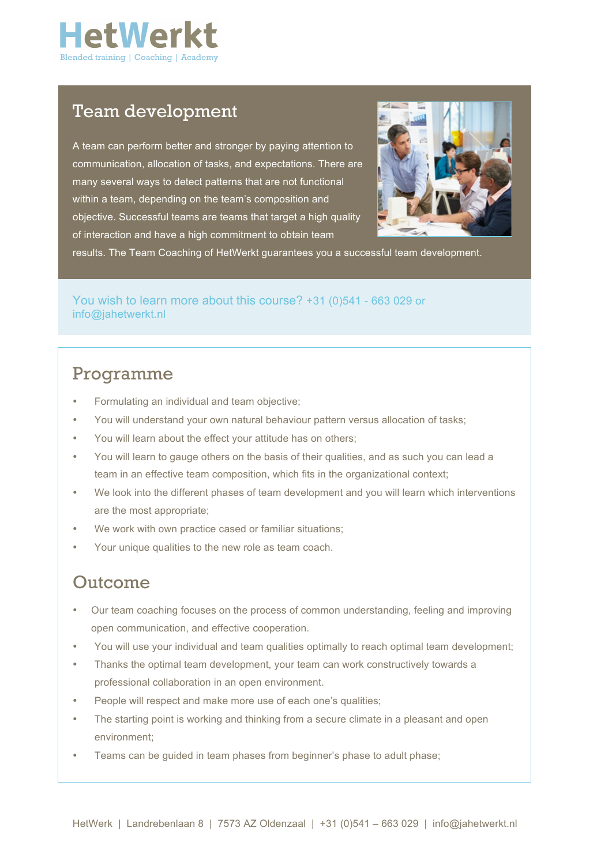

### Team development

A team can perform better and stronger by paying attention to communication, allocation of tasks, and expectations. There are many several ways to detect patterns that are not functional within a team, depending on the team's composition and objective. Successful teams are teams that target a high quality of interaction and have a high commitment to obtain team



results. The Team Coaching of HetWerkt guarantees you a successful team development.

You wish to learn more about this course? +31 (0)541 - 663 029 or info@jahetwerkt.nl

## Programme

- Formulating an individual and team objective;
- You will understand your own natural behaviour pattern versus allocation of tasks;
- You will learn about the effect your attitude has on others;
- You will learn to gauge others on the basis of their qualities, and as such you can lead a team in an effective team composition, which fits in the organizational context;
- We look into the different phases of team development and you will learn which interventions are the most appropriate;
- We work with own practice cased or familiar situations;
- Your unique qualities to the new role as team coach.

### Outcome

- Our team coaching focuses on the process of common understanding, feeling and improving open communication, and effective cooperation.
- You will use your individual and team qualities optimally to reach optimal team development;
- Thanks the optimal team development, your team can work constructively towards a professional collaboration in an open environment.
- People will respect and make more use of each one's qualities;
- The starting point is working and thinking from a secure climate in a pleasant and open environment;
- Teams can be quided in team phases from beginner's phase to adult phase: